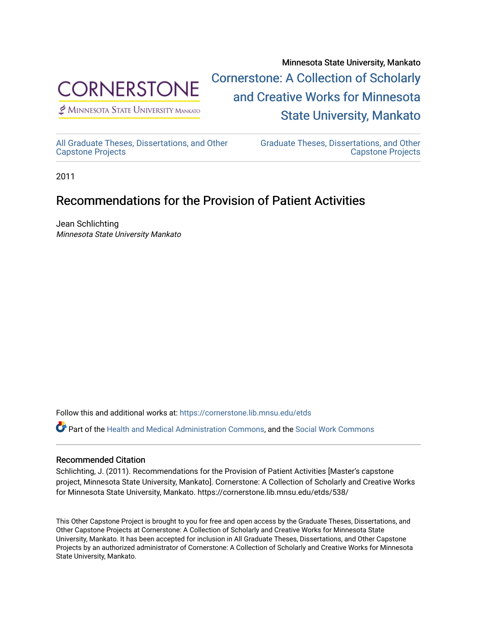

 $<sup>2</sup>$  Minnesota State University Mankato</sup>

Minnesota State University, Mankato [Cornerstone: A Collection of Scholarly](https://cornerstone.lib.mnsu.edu/)  [and Creative Works for Minnesota](https://cornerstone.lib.mnsu.edu/)  [State University, Mankato](https://cornerstone.lib.mnsu.edu/) 

[All Graduate Theses, Dissertations, and Other](https://cornerstone.lib.mnsu.edu/etds)  [Capstone Projects](https://cornerstone.lib.mnsu.edu/etds) 

[Graduate Theses, Dissertations, and Other](https://cornerstone.lib.mnsu.edu/theses_dissertations-capstone)  [Capstone Projects](https://cornerstone.lib.mnsu.edu/theses_dissertations-capstone) 

2011

#### Recommendations for the Provision of Patient Activities

Jean Schlichting Minnesota State University Mankato

Follow this and additional works at: [https://cornerstone.lib.mnsu.edu/etds](https://cornerstone.lib.mnsu.edu/etds?utm_source=cornerstone.lib.mnsu.edu%2Fetds%2F538&utm_medium=PDF&utm_campaign=PDFCoverPages) 

Part of the [Health and Medical Administration Commons](http://network.bepress.com/hgg/discipline/663?utm_source=cornerstone.lib.mnsu.edu%2Fetds%2F538&utm_medium=PDF&utm_campaign=PDFCoverPages), and the [Social Work Commons](http://network.bepress.com/hgg/discipline/713?utm_source=cornerstone.lib.mnsu.edu%2Fetds%2F538&utm_medium=PDF&utm_campaign=PDFCoverPages) 

#### Recommended Citation

Schlichting, J. (2011). Recommendations for the Provision of Patient Activities [Master's capstone project, Minnesota State University, Mankato]. Cornerstone: A Collection of Scholarly and Creative Works for Minnesota State University, Mankato. https://cornerstone.lib.mnsu.edu/etds/538/

This Other Capstone Project is brought to you for free and open access by the Graduate Theses, Dissertations, and Other Capstone Projects at Cornerstone: A Collection of Scholarly and Creative Works for Minnesota State University, Mankato. It has been accepted for inclusion in All Graduate Theses, Dissertations, and Other Capstone Projects by an authorized administrator of Cornerstone: A Collection of Scholarly and Creative Works for Minnesota State University, Mankato.